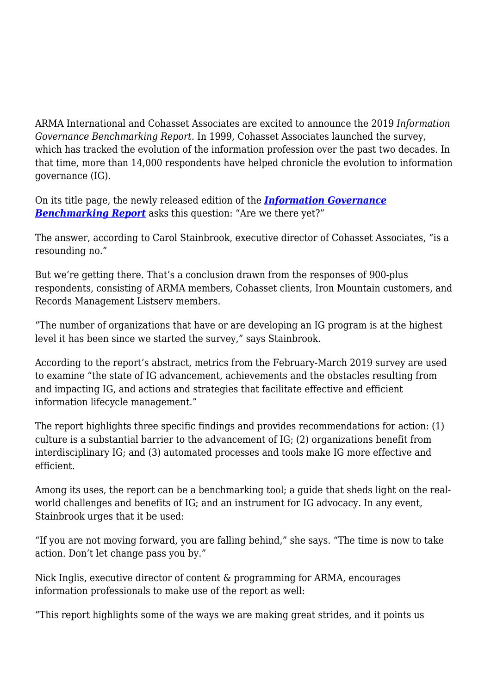ARMA International and Cohasset Associates are excited to announce the 2019 *Information Governance Benchmarking Report*. In 1999, Cohasset Associates launched the survey, which has tracked the evolution of the information profession over the past two decades. In that time, more than 14,000 respondents have helped chronicle the evolution to information governance (IG).

On its title page, the newly released edition of the *[Information Governance](https://armai.informz.net/ARMAI/pages/Cohasset_Benchmarking_Survey_2019) [Benchmarking Report](https://armai.informz.net/ARMAI/pages/Cohasset_Benchmarking_Survey_2019)* asks this question: "Are we there yet?"

The answer, according to Carol Stainbrook, executive director of Cohasset Associates, "is a resounding no."

But we're getting there. That's a conclusion drawn from the responses of 900-plus respondents, consisting of ARMA members, Cohasset clients, Iron Mountain customers, and Records Management Listserv members.

"The number of organizations that have or are developing an IG program is at the highest level it has been since we started the survey," says Stainbrook.

According to the report's abstract, metrics from the February-March 2019 survey are used to examine "the state of IG advancement, achievements and the obstacles resulting from and impacting IG, and actions and strategies that facilitate effective and efficient information lifecycle management."

The report highlights three specific findings and provides recommendations for action: (1) culture is a substantial barrier to the advancement of IG; (2) organizations benefit from interdisciplinary IG; and (3) automated processes and tools make IG more effective and efficient.

Among its uses, the report can be a benchmarking tool; a guide that sheds light on the realworld challenges and benefits of IG; and an instrument for IG advocacy. In any event, Stainbrook urges that it be used:

"If you are not moving forward, you are falling behind," she says. "The time is now to take action. Don't let change pass you by."

Nick Inglis, executive director of content & programming for ARMA, encourages information professionals to make use of the report as well:

"This report highlights some of the ways we are making great strides, and it points us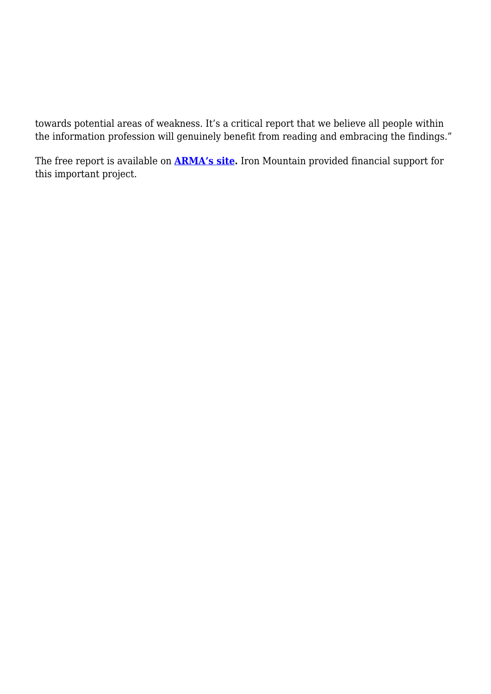towards potential areas of weakness. It's a critical report that we believe all people within the information profession will genuinely benefit from reading and embracing the findings."

The free report is available on **[ARMA's site.](https://armai.informz.net/ARMAI/pages/Cohasset_Benchmarking_Survey_2019)** Iron Mountain provided financial support for this important project.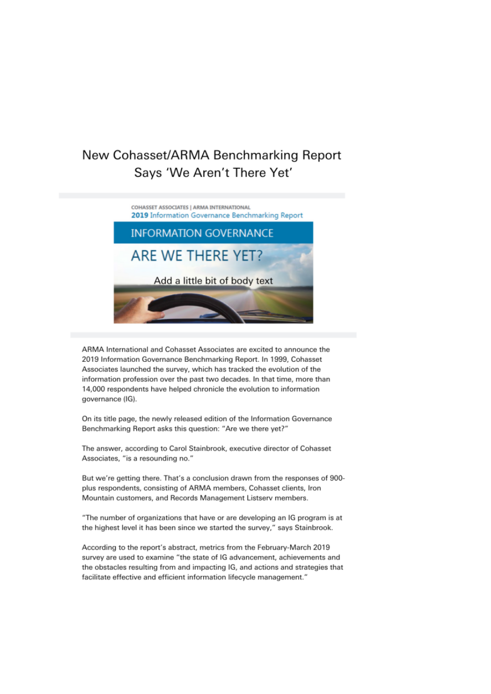## New Cohasset/ARMA Benchmarking Report Says 'We Aren't There Yet'



ARMA International and Cohasset Associates are excited to announce the 2019 Information Governance Benchmarking Report. In 1999, Cohasset Associates launched the survey, which has tracked the evolution of the information profession over the past two decades. In that time, more than 14,000 respondents have helped chronicle the evolution to information governance (IG).

On its title page, the newly released edition of the Information Governance Benchmarking Report asks this question: "Are we there yet?"

The answer, according to Carol Stainbrook, executive director of Cohasset Associates, "is a resounding no."

But we're getting there. That's a conclusion drawn from the responses of 900plus respondents, consisting of ARMA members, Cohasset clients, Iron Mountain customers, and Records Management Listserv members.

"The number of organizations that have or are developing an IG program is at the highest level it has been since we started the survey," says Stainbrook.

According to the report's abstract, metrics from the February-March 2019 survey are used to examine "the state of IG advancement, achievements and the obstacles resulting from and impacting IG, and actions and strategies that facilitate effective and efficient information lifecycle management."